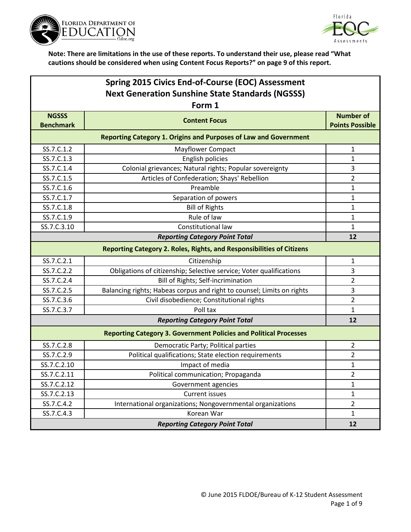



| Spring 2015 Civics End-of-Course (EOC) Assessment       |                                                                          |                        |
|---------------------------------------------------------|--------------------------------------------------------------------------|------------------------|
| <b>Next Generation Sunshine State Standards (NGSSS)</b> |                                                                          |                        |
|                                                         | Form 1                                                                   |                        |
| <b>NGSSS</b>                                            | <b>Content Focus</b>                                                     | <b>Number of</b>       |
| <b>Benchmark</b>                                        |                                                                          | <b>Points Possible</b> |
|                                                         | <b>Reporting Category 1. Origins and Purposes of Law and Government</b>  |                        |
| SS.7.C.1.2                                              | Mayflower Compact                                                        | 1                      |
| SS.7.C.1.3                                              | English policies                                                         | 1                      |
| SS.7.C.1.4                                              | Colonial grievances; Natural rights; Popular sovereignty                 | 3                      |
| SS.7.C.1.5                                              | Articles of Confederation; Shays' Rebellion                              | $\overline{2}$         |
| SS.7.C.1.6                                              | Preamble                                                                 | $\mathbf{1}$           |
| SS.7.C.1.7                                              | Separation of powers                                                     | $\mathbf{1}$           |
| SS.7.C.1.8                                              | <b>Bill of Rights</b>                                                    | $\mathbf{1}$           |
| SS.7.C.1.9                                              | Rule of law                                                              | 1                      |
| SS.7.C.3.10                                             | Constitutional law                                                       | $\mathbf{1}$           |
|                                                         | <b>Reporting Category Point Total</b>                                    | 12                     |
|                                                         | Reporting Category 2. Roles, Rights, and Responsibilities of Citizens    |                        |
| SS.7.C.2.1                                              | Citizenship                                                              | 1                      |
| SS.7.C.2.2                                              | Obligations of citizenship; Selective service; Voter qualifications      | 3                      |
| SS.7.C.2.4                                              | Bill of Rights; Self-incrimination                                       | $\overline{2}$         |
| SS.7.C.2.5                                              | Balancing rights; Habeas corpus and right to counsel; Limits on rights   | 3                      |
| SS.7.C.3.6                                              | Civil disobedience; Constitutional rights                                | $\overline{2}$         |
| SS.7.C.3.7                                              | Poll tax                                                                 | 1                      |
|                                                         | <b>Reporting Category Point Total</b>                                    | 12                     |
|                                                         | <b>Reporting Category 3. Government Policies and Political Processes</b> |                        |
| SS.7.C.2.8                                              | Democratic Party; Political parties                                      | $\overline{2}$         |
| SS.7.C.2.9                                              | Political qualifications; State election requirements                    | $\overline{2}$         |
| SS.7.C.2.10                                             | Impact of media                                                          | 1                      |
| SS.7.C.2.11                                             | Political communication; Propaganda                                      | $\overline{2}$         |
| SS.7.C.2.12                                             | Government agencies                                                      | 1                      |
| SS.7.C.2.13                                             | <b>Current issues</b>                                                    | $\mathbf{1}$           |
| SS.7.C.4.2                                              | International organizations; Nongovernmental organizations               | $\overline{2}$         |
| SS.7.C.4.3                                              | Korean War                                                               | $\mathbf{1}$           |
|                                                         | <b>Reporting Category Point Total</b>                                    | 12                     |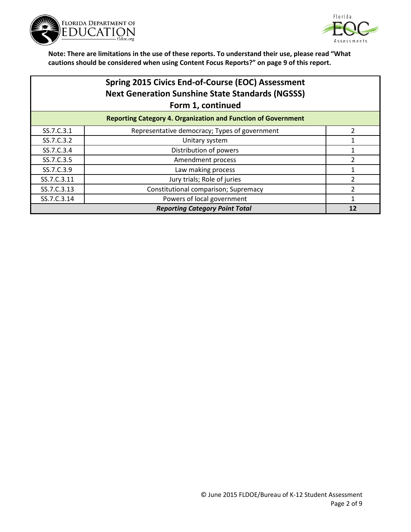



|                                       | <b>Spring 2015 Civics End-of-Course (EOC) Assessment</b><br><b>Next Generation Sunshine State Standards (NGSSS)</b><br>Form 1, continued |                |
|---------------------------------------|------------------------------------------------------------------------------------------------------------------------------------------|----------------|
|                                       | <b>Reporting Category 4. Organization and Function of Government</b>                                                                     |                |
| SS.7.C.3.1                            | Representative democracy; Types of government                                                                                            | $\overline{2}$ |
| SS.7.C.3.2                            | Unitary system                                                                                                                           |                |
| SS.7.C.3.4                            | Distribution of powers                                                                                                                   |                |
| SS.7.C.3.5                            | Amendment process                                                                                                                        | 2              |
| SS.7.C.3.9                            | Law making process                                                                                                                       |                |
| SS.7.C.3.11                           | Jury trials; Role of juries                                                                                                              | 2              |
| SS.7.C.3.13                           | Constitutional comparison; Supremacy                                                                                                     | 2              |
| SS.7.C.3.14                           | Powers of local government                                                                                                               |                |
| <b>Reporting Category Point Total</b> |                                                                                                                                          | 12             |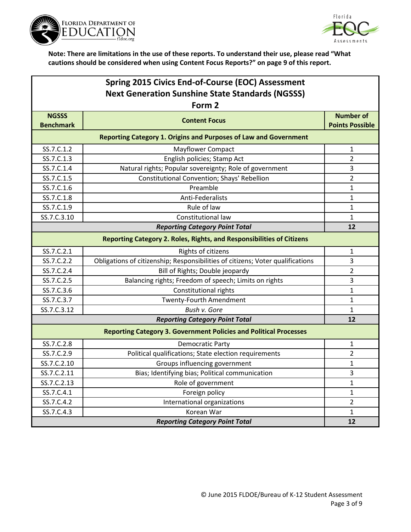



| Spring 2015 Civics End-of-Course (EOC) Assessment                            |                                                                                |                        |  |
|------------------------------------------------------------------------------|--------------------------------------------------------------------------------|------------------------|--|
|                                                                              | <b>Next Generation Sunshine State Standards (NGSSS)</b>                        |                        |  |
|                                                                              | Form 2                                                                         |                        |  |
| <b>NGSSS</b>                                                                 | <b>Content Focus</b>                                                           | <b>Number of</b>       |  |
| <b>Benchmark</b>                                                             |                                                                                | <b>Points Possible</b> |  |
|                                                                              | <b>Reporting Category 1. Origins and Purposes of Law and Government</b>        |                        |  |
| SS.7.C.1.2                                                                   | <b>Mayflower Compact</b>                                                       | 1                      |  |
| SS.7.C.1.3                                                                   | English policies; Stamp Act                                                    | $\overline{2}$         |  |
| SS.7.C.1.4                                                                   | Natural rights; Popular sovereignty; Role of government                        | 3                      |  |
| SS.7.C.1.5                                                                   | Constitutional Convention; Shays' Rebellion                                    | $\overline{2}$         |  |
| SS.7.C.1.6                                                                   | Preamble                                                                       | 1                      |  |
| SS.7.C.1.8                                                                   | Anti-Federalists                                                               | 1                      |  |
| SS.7.C.1.9                                                                   | Rule of law                                                                    | 1                      |  |
| SS.7.C.3.10                                                                  | Constitutional law                                                             | 1                      |  |
| <b>Reporting Category Point Total</b>                                        |                                                                                | 12                     |  |
| <b>Reporting Category 2. Roles, Rights, and Responsibilities of Citizens</b> |                                                                                |                        |  |
| SS.7.C.2.1                                                                   | Rights of citizens                                                             | 1                      |  |
| SS.7.C.2.2                                                                   | Obligations of citizenship; Responsibilities of citizens; Voter qualifications | 3                      |  |
| SS.7.C.2.4                                                                   | Bill of Rights; Double jeopardy                                                | $\overline{2}$         |  |
| SS.7.C.2.5                                                                   | Balancing rights; Freedom of speech; Limits on rights                          | 3                      |  |
| SS.7.C.3.6                                                                   | Constitutional rights                                                          | 1                      |  |
| SS.7.C.3.7                                                                   | <b>Twenty-Fourth Amendment</b>                                                 | $\mathbf{1}$           |  |
| SS.7.C.3.12                                                                  | Bush v. Gore                                                                   | 1                      |  |
|                                                                              | <b>Reporting Category Point Total</b>                                          | 12                     |  |
|                                                                              | <b>Reporting Category 3. Government Policies and Political Processes</b>       |                        |  |
| SS.7.C.2.8                                                                   | <b>Democratic Party</b>                                                        | 1                      |  |
| SS.7.C.2.9                                                                   | Political qualifications; State election requirements                          | $\overline{2}$         |  |
| SS.7.C.2.10                                                                  | Groups influencing government                                                  | 1                      |  |
| SS.7.C.2.11                                                                  | Bias; Identifying bias; Political communication                                | 3                      |  |
| SS.7.C.2.13                                                                  | Role of government                                                             | 1                      |  |
| SS.7.C.4.1                                                                   | Foreign policy                                                                 | $\mathbf{1}$           |  |
| SS.7.C.4.2                                                                   | International organizations                                                    | $\overline{2}$         |  |
| SS.7.C.4.3                                                                   | Korean War                                                                     | $\mathbf{1}$           |  |
|                                                                              | <b>Reporting Category Point Total</b>                                          | 12                     |  |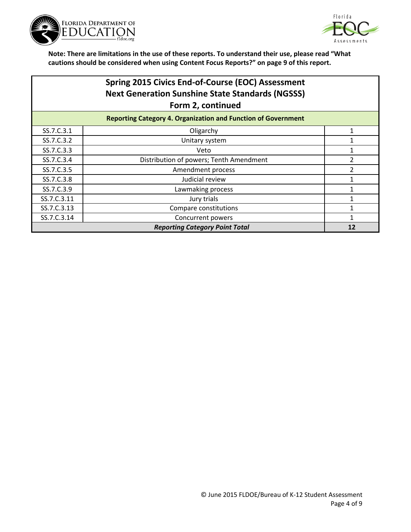



| Spring 2015 Civics End-of-Course (EOC) Assessment       |
|---------------------------------------------------------|
| <b>Next Generation Sunshine State Standards (NGSSS)</b> |
| Form 2, continued                                       |
|                                                         |

| <b>Reporting Category 4. Organization and Function of Government</b> |                                         |  |
|----------------------------------------------------------------------|-----------------------------------------|--|
| SS.7.C.3.1                                                           | Oligarchy                               |  |
| SS.7.C.3.2                                                           | Unitary system                          |  |
| SS.7.C.3.3                                                           | Veto                                    |  |
| SS.7.C.3.4                                                           | Distribution of powers; Tenth Amendment |  |
| SS.7.C.3.5                                                           | Amendment process                       |  |
| SS.7.C.3.8                                                           | Judicial review                         |  |
| SS.7.C.3.9                                                           | Lawmaking process                       |  |
| SS.7.C.3.11                                                          | Jury trials                             |  |
| SS.7.C.3.13                                                          | Compare constitutions                   |  |
| SS.7.C.3.14                                                          | Concurrent powers                       |  |
| <b>Reporting Category Point Total</b>                                |                                         |  |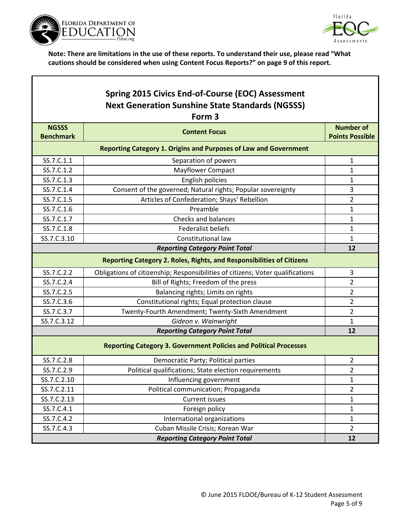

Г



٦

|                                  | Spring 2015 Civics End-of-Course (EOC) Assessment<br><b>Next Generation Sunshine State Standards (NGSSS)</b><br>Form <sub>3</sub> |                                            |
|----------------------------------|-----------------------------------------------------------------------------------------------------------------------------------|--------------------------------------------|
| <b>NGSSS</b><br><b>Benchmark</b> | <b>Content Focus</b>                                                                                                              | <b>Number of</b><br><b>Points Possible</b> |
|                                  | <b>Reporting Category 1. Origins and Purposes of Law and Government</b>                                                           |                                            |
| SS.7.C.1.1                       | Separation of powers                                                                                                              | $\mathbf{1}$                               |
| SS.7.C.1.2                       | <b>Mayflower Compact</b>                                                                                                          | 1                                          |
| SS.7.C.1.3                       | English policies                                                                                                                  | 1                                          |
| SS.7.C.1.4                       | Consent of the governed; Natural rights; Popular sovereignty                                                                      | 3                                          |
| SS.7.C.1.5                       | Articles of Confederation; Shays' Rebellion                                                                                       | $\overline{2}$                             |
| SS.7.C.1.6                       | Preamble                                                                                                                          | 1                                          |
| SS.7.C.1.7                       | Checks and balances                                                                                                               | $\mathbf{1}$                               |
| SS.7.C.1.8                       | <b>Federalist beliefs</b>                                                                                                         | $\mathbf{1}$                               |
| SS.7.C.3.10                      | Constitutional law                                                                                                                | 1                                          |
|                                  | <b>Reporting Category Point Total</b>                                                                                             | 12                                         |
|                                  | Reporting Category 2. Roles, Rights, and Responsibilities of Citizens                                                             |                                            |
| SS.7.C.2.2                       | Obligations of citizenship; Responsibilities of citizens; Voter qualifications                                                    | 3                                          |
| SS.7.C.2.4                       | Bill of Rights; Freedom of the press                                                                                              | $\overline{2}$                             |
| SS.7.C.2.5                       | Balancing rights; Limits on rights                                                                                                | $\overline{2}$                             |
| SS.7.C.3.6                       | Constitutional rights; Equal protection clause                                                                                    | $\overline{2}$                             |
| SS.7.C.3.7                       | Twenty-Fourth Amendment; Twenty-Sixth Amendment                                                                                   | $\overline{2}$                             |
| SS.7.C.3.12                      | Gideon v. Wainwright                                                                                                              | 1                                          |
|                                  | <b>Reporting Category Point Total</b>                                                                                             | 12                                         |
|                                  | <b>Reporting Category 3. Government Policies and Political Processes</b>                                                          |                                            |
| SS.7.C.2.8                       | Democratic Party; Political parties                                                                                               | 2                                          |
| SS.7.C.2.9                       | Political qualifications; State election requirements                                                                             | $\overline{2}$                             |
| SS.7.C.2.10                      | Influencing government                                                                                                            | 1                                          |
| SS.7.C.2.11                      | Political communication; Propaganda                                                                                               | $\overline{2}$                             |
| SS.7.C.2.13                      | <b>Current issues</b>                                                                                                             | $\mathbf{1}$                               |
| SS.7.C.4.1                       | Foreign policy                                                                                                                    | $\mathbf{1}$                               |
| SS.7.C.4.2                       | International organizations                                                                                                       | $\mathbf{1}$                               |
| SS.7.C.4.3                       | Cuban Missile Crisis; Korean War                                                                                                  | $\overline{2}$                             |
|                                  | <b>Reporting Category Point Total</b>                                                                                             | 12                                         |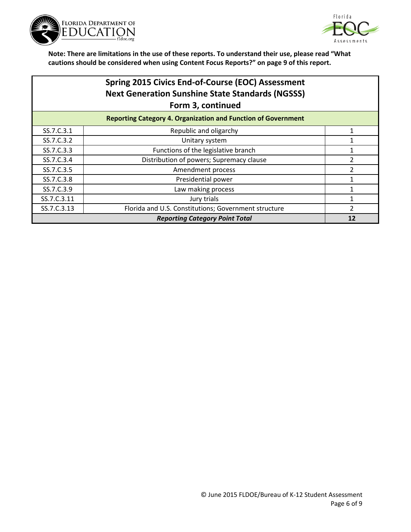



| <b>Spring 2015 Civics End-of-Course (EOC) Assessment</b> |  |  |
|----------------------------------------------------------|--|--|
| <b>Next Generation Sunshine State Standards (NGSSS)</b>  |  |  |
| Form 3, continued                                        |  |  |
|                                                          |  |  |

|             | <b>Reporting Category 4. Organization and Function of Government</b> |  |
|-------------|----------------------------------------------------------------------|--|
| SS.7.C.3.1  | Republic and oligarchy                                               |  |
| SS.7.C.3.2  | Unitary system                                                       |  |
| SS.7.C.3.3  | Functions of the legislative branch                                  |  |
| SS.7.C.3.4  | Distribution of powers; Supremacy clause                             |  |
| SS.7.C.3.5  | Amendment process                                                    |  |
| SS.7.C.3.8  | Presidential power                                                   |  |
| SS.7.C.3.9  | Law making process                                                   |  |
| SS.7.C.3.11 | Jury trials                                                          |  |
| SS.7.C.3.13 | Florida and U.S. Constitutions; Government structure                 |  |
|             | <b>Reporting Category Point Total</b>                                |  |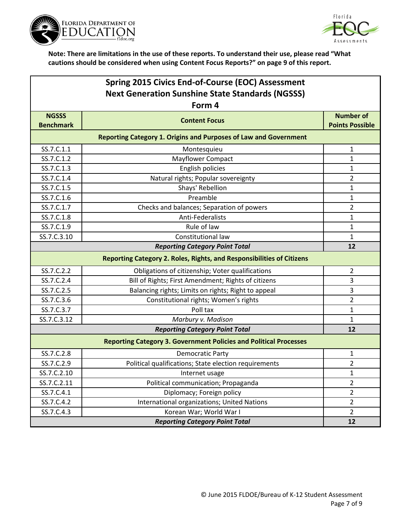



| Spring 2015 Civics End-of-Course (EOC) Assessment                            |                                                                          |                        |
|------------------------------------------------------------------------------|--------------------------------------------------------------------------|------------------------|
| <b>Next Generation Sunshine State Standards (NGSSS)</b>                      |                                                                          |                        |
|                                                                              | Form 4                                                                   |                        |
| <b>NGSSS</b>                                                                 | <b>Content Focus</b>                                                     | <b>Number of</b>       |
| <b>Benchmark</b>                                                             |                                                                          | <b>Points Possible</b> |
|                                                                              | <b>Reporting Category 1. Origins and Purposes of Law and Government</b>  |                        |
| SS.7.C.1.1                                                                   | Montesquieu                                                              | $\mathbf{1}$           |
| SS.7.C.1.2                                                                   | <b>Mayflower Compact</b>                                                 | 1                      |
| SS.7.C.1.3                                                                   | English policies                                                         | $\mathbf{1}$           |
| SS.7.C.1.4                                                                   | Natural rights; Popular sovereignty                                      | $\overline{2}$         |
| SS.7.C.1.5                                                                   | Shays' Rebellion                                                         | $\mathbf{1}$           |
| SS.7.C.1.6                                                                   | Preamble                                                                 | $\mathbf{1}$           |
| SS.7.C.1.7                                                                   | Checks and balances; Separation of powers                                | $\overline{2}$         |
| SS.7.C.1.8                                                                   | Anti-Federalists                                                         | 1                      |
| SS.7.C.1.9                                                                   | Rule of law                                                              | $\mathbf{1}$           |
| SS.7.C.3.10                                                                  | Constitutional law                                                       | $\mathbf{1}$           |
| <b>Reporting Category Point Total</b>                                        |                                                                          | 12                     |
| <b>Reporting Category 2. Roles, Rights, and Responsibilities of Citizens</b> |                                                                          |                        |
| SS.7.C.2.2                                                                   | Obligations of citizenship; Voter qualifications                         | $\overline{2}$         |
| SS.7.C.2.4                                                                   | Bill of Rights; First Amendment; Rights of citizens                      | 3                      |
| SS.7.C.2.5                                                                   | Balancing rights; Limits on rights; Right to appeal                      | 3                      |
| SS.7.C.3.6                                                                   | Constitutional rights; Women's rights                                    | $\overline{2}$         |
| SS.7.C.3.7                                                                   | Poll tax                                                                 | $\mathbf{1}$           |
| SS.7.C.3.12                                                                  | Marbury v. Madison                                                       | $\mathbf{1}$           |
|                                                                              | <b>Reporting Category Point Total</b>                                    | 12                     |
|                                                                              | <b>Reporting Category 3. Government Policies and Political Processes</b> |                        |
| SS.7.C.2.8                                                                   | Democratic Party                                                         | 1                      |
| SS.7.C.2.9                                                                   | Political qualifications; State election requirements                    | 2                      |
| SS.7.C.2.10                                                                  | Internet usage                                                           | $\mathbf{1}$           |
| SS.7.C.2.11                                                                  | Political communication; Propaganda                                      | $\overline{2}$         |
| SS.7.C.4.1                                                                   | Diplomacy; Foreign policy                                                | $\overline{2}$         |
| SS.7.C.4.2                                                                   | International organizations; United Nations                              | $\overline{2}$         |
| SS.7.C.4.3                                                                   | Korean War; World War I                                                  | $\overline{2}$         |
| <b>Reporting Category Point Total</b>                                        |                                                                          | 12                     |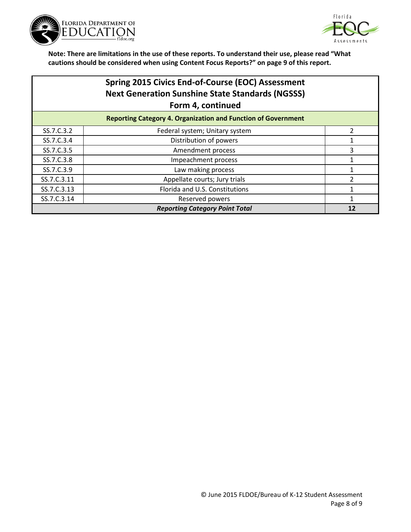



|             | <b>Spring 2015 Civics End-of-Course (EOC) Assessment</b><br><b>Next Generation Sunshine State Standards (NGSSS)</b><br>Form 4, continued |                |
|-------------|------------------------------------------------------------------------------------------------------------------------------------------|----------------|
|             | <b>Reporting Category 4. Organization and Function of Government</b>                                                                     |                |
| SS.7.C.3.2  | Federal system; Unitary system                                                                                                           | $\overline{2}$ |
| SS.7.C.3.4  | Distribution of powers                                                                                                                   |                |
| SS.7.C.3.5  | Amendment process                                                                                                                        | 3              |
| SS.7.C.3.8  | Impeachment process                                                                                                                      |                |
| SS.7.C.3.9  | Law making process                                                                                                                       |                |
| SS.7.C.3.11 | Appellate courts; Jury trials                                                                                                            | 2              |
| SS.7.C.3.13 | Florida and U.S. Constitutions                                                                                                           |                |
| SS.7.C.3.14 | Reserved powers                                                                                                                          | 1              |
|             | <b>Reporting Category Point Total</b>                                                                                                    | 12             |